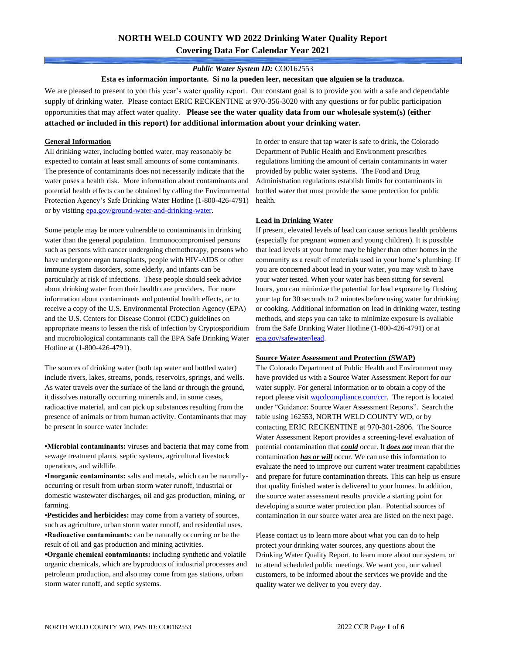# **NORTH WELD COUNTY WD 2022 Drinking Water Quality Report Covering Data For Calendar Year 2021**

## *Public Water System ID:* CO0162553

**Esta es información importante. Si no la pueden leer, necesitan que alguien se la traduzca.**

We are pleased to present to you this year's water quality report. Our constant goal is to provide you with a safe and dependable supply of drinking water. Please contact ERIC RECKENTINE at 970-356-3020 with any questions or for public participation opportunities that may affect water quality. **Please see the water quality data from our wholesale system(s) (either attached or included in this report) for additional information about your drinking water.**

### **General Information**

All drinking water, including bottled water, may reasonably be expected to contain at least small amounts of some contaminants. The presence of contaminants does not necessarily indicate that the water poses a health risk. More information about contaminants and potential health effects can be obtained by calling the Environmental Protection Agency's Safe Drinking Water Hotline (1-800-426-4791) or by visiting [epa.gov/ground-water-and-drinking-water.](https://www.epa.gov/ground-water-and-drinking-water)

Some people may be more vulnerable to contaminants in drinking water than the general population. Immunocompromised persons such as persons with cancer undergoing chemotherapy, persons who have undergone organ transplants, people with HIV-AIDS or other immune system disorders, some elderly, and infants can be particularly at risk of infections. These people should seek advice about drinking water from their health care providers. For more information about contaminants and potential health effects, or to receive a copy of the U.S. Environmental Protection Agency (EPA) and the U.S. Centers for Disease Control (CDC) guidelines on appropriate means to lessen the risk of infection by Cryptosporidium and microbiological contaminants call the EPA Safe Drinking Water Hotline at (1-800-426-4791).

The sources of drinking water (both tap water and bottled water) include rivers, lakes, streams, ponds, reservoirs, springs, and wells. As water travels over the surface of the land or through the ground, it dissolves naturally occurring minerals and, in some cases, radioactive material, and can pick up substances resulting from the presence of animals or from human activity. Contaminants that may be present in source water include:

**•Microbial contaminants:** viruses and bacteria that may come from sewage treatment plants, septic systems, agricultural livestock operations, and wildlife.

**•Inorganic contaminants:** salts and metals, which can be naturallyoccurring or result from urban storm water runoff, industrial or domestic wastewater discharges, oil and gas production, mining, or farming.

•**Pesticides and herbicides:** may come from a variety of sources, such as agriculture, urban storm water runoff, and residential uses. **•Radioactive contaminants:** can be naturally occurring or be the result of oil and gas production and mining activities.

**•Organic chemical contaminants:** including synthetic and volatile organic chemicals, which are byproducts of industrial processes and petroleum production, and also may come from gas stations, urban storm water runoff, and septic systems.

In order to ensure that tap water is safe to drink, the Colorado Department of Public Health and Environment prescribes regulations limiting the amount of certain contaminants in water provided by public water systems. The Food and Drug Administration regulations establish limits for contaminants in bottled water that must provide the same protection for public health.

### **Lead in Drinking Water**

If present, elevated levels of lead can cause serious health problems (especially for pregnant women and young children). It is possible that lead levels at your home may be higher than other homes in the community as a result of materials used in your home's plumbing. If you are concerned about lead in your water, you may wish to have your water tested. When your water has been sitting for several hours, you can minimize the potential for lead exposure by flushing your tap for 30 seconds to 2 minutes before using water for drinking or cooking. Additional information on lead in drinking water, testing methods, and steps you can take to minimize exposure is available from the Safe Drinking Water Hotline (1-800-426-4791) or at [epa.gov/safewater/lead.](http://www.epa.gov/safewater/lead) 

#### **Source Water Assessment and Protection (SWAP)**

The Colorado Department of Public Health and Environment may have provided us with a Source Water Assessment Report for our water supply. For general information or to obtain a copy of the report please visit [wqcdcompliance.com/ccr.](https://wqcdcompliance.com/ccr) The report is located under "Guidance: Source Water Assessment Reports". Search the table using 162553, NORTH WELD COUNTY WD, or by contacting ERIC RECKENTINE at 970-301-2806. The Source Water Assessment Report provides a screening-level evaluation of potential contamination that *could* occur. It *does not* mean that the contamination *has or will* occur. We can use this information to evaluate the need to improve our current water treatment capabilities and prepare for future contamination threats. This can help us ensure that quality finished water is delivered to your homes. In addition, the source water assessment results provide a starting point for developing a source water protection plan. Potential sources of contamination in our source water area are listed on the next page.

Please contact us to learn more about what you can do to help protect your drinking water sources, any questions about the Drinking Water Quality Report, to learn more about our system, or to attend scheduled public meetings. We want you, our valued customers, to be informed about the services we provide and the quality water we deliver to you every day.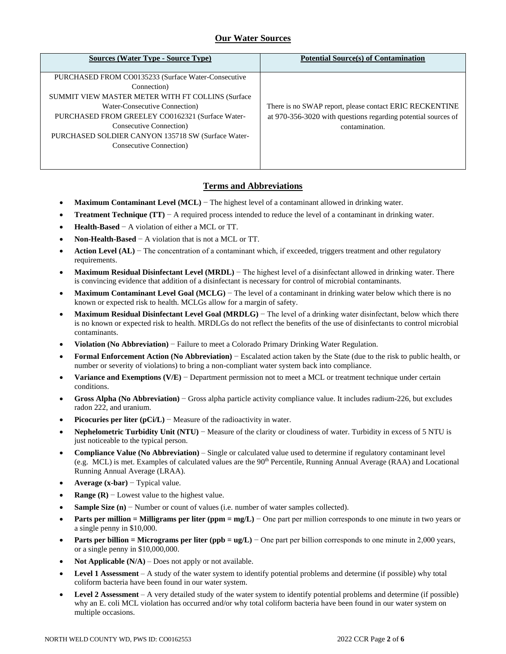# **Our Water Sources**

| <b>Sources (Water Type - Source Type)</b>                                                                                                                                                                                                                                                                                | <b>Potential Source(s) of Contamination</b>                                                                                                |
|--------------------------------------------------------------------------------------------------------------------------------------------------------------------------------------------------------------------------------------------------------------------------------------------------------------------------|--------------------------------------------------------------------------------------------------------------------------------------------|
| PURCHASED FROM CO0135233 (Surface Water-Consecutive<br>Connection)<br>SUMMIT VIEW MASTER METER WITH FT COLLINS (Surface<br>Water-Consecutive Connection)<br>PURCHASED FROM GREELEY CO0162321 (Surface Water-<br>Consecutive Connection)<br>PURCHASED SOLDIER CANYON 135718 SW (Surface Water-<br>Consecutive Connection) | There is no SWAP report, please contact ERIC RECKENTINE<br>at 970-356-3020 with questions regarding potential sources of<br>contamination. |

# **Terms and Abbreviations**

- **Maximum Contaminant Level (MCL)** − The highest level of a contaminant allowed in drinking water.
- **Treatment Technique (TT)**  $A$  required process intended to reduce the level of a contaminant in drinking water.
- **Health-Based** − A violation of either a MCL or TT.
- **Non-Health-Based** − A violation that is not a MCL or TT.
- **Action Level (AL)** − The concentration of a contaminant which, if exceeded, triggers treatment and other regulatory requirements.
- **Maximum Residual Disinfectant Level (MRDL)** − The highest level of a disinfectant allowed in drinking water. There is convincing evidence that addition of a disinfectant is necessary for control of microbial contaminants.
- **Maximum Contaminant Level Goal (MCLG)** − The level of a contaminant in drinking water below which there is no known or expected risk to health. MCLGs allow for a margin of safety.
- **Maximum Residual Disinfectant Level Goal (MRDLG)** − The level of a drinking water disinfectant, below which there is no known or expected risk to health. MRDLGs do not reflect the benefits of the use of disinfectants to control microbial contaminants.
- **Violation (No Abbreviation)** − Failure to meet a Colorado Primary Drinking Water Regulation.
- **Formal Enforcement Action (No Abbreviation)** − Escalated action taken by the State (due to the risk to public health, or number or severity of violations) to bring a non-compliant water system back into compliance.
- **Variance and Exemptions (V/E)** − Department permission not to meet a MCL or treatment technique under certain conditions.
- **Gross Alpha (No Abbreviation)** − Gross alpha particle activity compliance value. It includes radium-226, but excludes radon 222, and uranium.
- **Picocuries per liter (pCi/L)** − Measure of the radioactivity in water.
- **Nephelometric Turbidity Unit (NTU)** − Measure of the clarity or cloudiness of water. Turbidity in excess of 5 NTU is just noticeable to the typical person.
- **Compliance Value (No Abbreviation)** Single or calculated value used to determine if regulatory contaminant level (e.g. MCL) is met. Examples of calculated values are the 90<sup>th</sup> Percentile, Running Annual Average (RAA) and Locational Running Annual Average (LRAA).
- **Average (x-bar)** − Typical value.
- **Range (R)**  $-$  Lowest value to the highest value.
- **Sample Size (n)** − Number or count of values (i.e. number of water samples collected).
- **Parts per million = Milligrams per liter (ppm = mg/L)** − One part per million corresponds to one minute in two years or a single penny in \$10,000.
- **Parts per billion = Micrograms per liter (ppb = ug/L)** − One part per billion corresponds to one minute in 2,000 years, or a single penny in \$10,000,000.
- **Not Applicable**  $(N/A)$  Does not apply or not available.
- **Level 1 Assessment** A study of the water system to identify potential problems and determine (if possible) why total coliform bacteria have been found in our water system.
- **Level 2 Assessment** A very detailed study of the water system to identify potential problems and determine (if possible) why an E. coli MCL violation has occurred and/or why total coliform bacteria have been found in our water system on multiple occasions.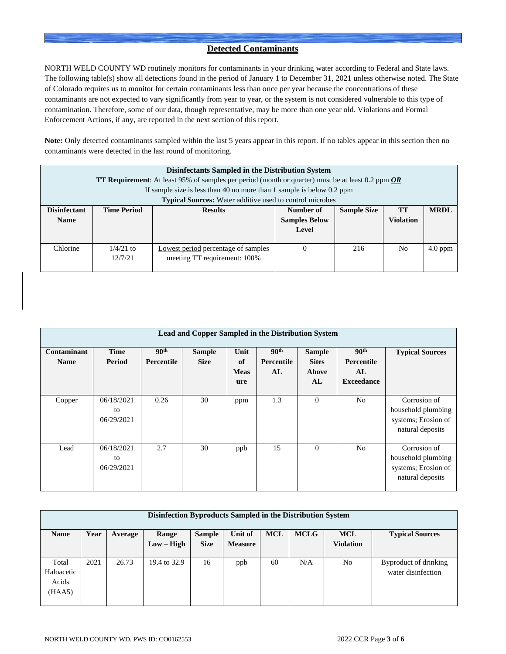# **Detected Contaminants**

NORTH WELD COUNTY WD routinely monitors for contaminants in your drinking water according to Federal and State laws. The following table(s) show all detections found in the period of January 1 to December 31, 2021 unless otherwise noted. The State of Colorado requires us to monitor for certain contaminants less than once per year because the concentrations of these contaminants are not expected to vary significantly from year to year, or the system is not considered vulnerable to this type of contamination. Therefore, some of our data, though representative, may be more than one year old. Violations and Formal Enforcement Actions, if any, are reported in the next section of this report.

**Note:** Only detected contaminants sampled within the last 5 years appear in this report. If no tables appear in this section then no contaminants were detected in the last round of monitoring.

| Disinfectants Sampled in the Distribution System |                                          |                                                                                                            |           |                    |           |             |  |
|--------------------------------------------------|------------------------------------------|------------------------------------------------------------------------------------------------------------|-----------|--------------------|-----------|-------------|--|
|                                                  |                                          | <b>TT Requirement:</b> At least 95% of samples per period (month or quarter) must be at least 0.2 ppm $OR$ |           |                    |           |             |  |
|                                                  |                                          | If sample size is less than 40 no more than 1 sample is below 0.2 ppm                                      |           |                    |           |             |  |
|                                                  |                                          | <b>Typical Sources:</b> Water additive used to control microbes                                            |           |                    |           |             |  |
| <b>Disinfectant</b>                              | <b>Time Period</b>                       | <b>Results</b>                                                                                             | Number of | <b>Sample Size</b> | <b>TT</b> | <b>MRDL</b> |  |
| <b>Name</b>                                      | <b>Samples Below</b><br><b>Violation</b> |                                                                                                            |           |                    |           |             |  |
|                                                  | Level                                    |                                                                                                            |           |                    |           |             |  |
|                                                  |                                          |                                                                                                            |           |                    |           |             |  |
| Chlorine                                         | $1/4/21$ to                              | Lowest period percentage of samples                                                                        | $\Omega$  | 216                | No        | $4.0$ ppm   |  |
|                                                  | 12/7/21                                  | meeting TT requirement: 100%                                                                               |           |                    |           |             |  |
|                                                  |                                          |                                                                                                            |           |                    |           |             |  |

| Lead and Copper Sampled in the Distribution System |                                |                                       |                              |                                  |                                      |                                              |                                                                  |                                                                               |
|----------------------------------------------------|--------------------------------|---------------------------------------|------------------------------|----------------------------------|--------------------------------------|----------------------------------------------|------------------------------------------------------------------|-------------------------------------------------------------------------------|
| Contaminant<br><b>Name</b>                         | <b>Time</b><br>Period          | 90 <sup>th</sup><br><b>Percentile</b> | <b>Sample</b><br><b>Size</b> | Unit<br>of<br><b>Meas</b><br>ure | 90 <sup>th</sup><br>Percentile<br>AL | <b>Sample</b><br><b>Sites</b><br>Above<br>AL | 90 <sup>th</sup><br><b>Percentile</b><br>AL<br><b>Exceedance</b> | <b>Typical Sources</b>                                                        |
| Copper                                             | 06/18/2021<br>to<br>06/29/2021 | 0.26                                  | 30                           | ppm                              | 1.3                                  | $\mathbf{0}$                                 | N <sub>o</sub>                                                   | Corrosion of<br>household plumbing<br>systems; Erosion of<br>natural deposits |
| Lead                                               | 06/18/2021<br>to<br>06/29/2021 | 2.7                                   | 30                           | ppb                              | 15                                   | $\Omega$                                     | N <sub>o</sub>                                                   | Corrosion of<br>household plumbing<br>systems; Erosion of<br>natural deposits |

| Disinfection Byproducts Sampled in the Distribution System |      |         |              |               |                |            |             |                  |                        |
|------------------------------------------------------------|------|---------|--------------|---------------|----------------|------------|-------------|------------------|------------------------|
| <b>Name</b>                                                | Year | Average | Range        | <b>Sample</b> | Unit of        | <b>MCL</b> | <b>MCLG</b> | <b>MCL</b>       | <b>Typical Sources</b> |
|                                                            |      |         | $Low - High$ | <b>Size</b>   | <b>Measure</b> |            |             | <b>Violation</b> |                        |
|                                                            |      |         |              |               |                |            |             |                  |                        |
| Total                                                      | 2021 | 26.73   | 19.4 to 32.9 | 16            | ppb            | 60         | N/A         | N <sub>o</sub>   | Byproduct of drinking  |
| Haloacetic                                                 |      |         |              |               |                |            |             |                  | water disinfection     |
| Acids                                                      |      |         |              |               |                |            |             |                  |                        |
| (HAA5)                                                     |      |         |              |               |                |            |             |                  |                        |
|                                                            |      |         |              |               |                |            |             |                  |                        |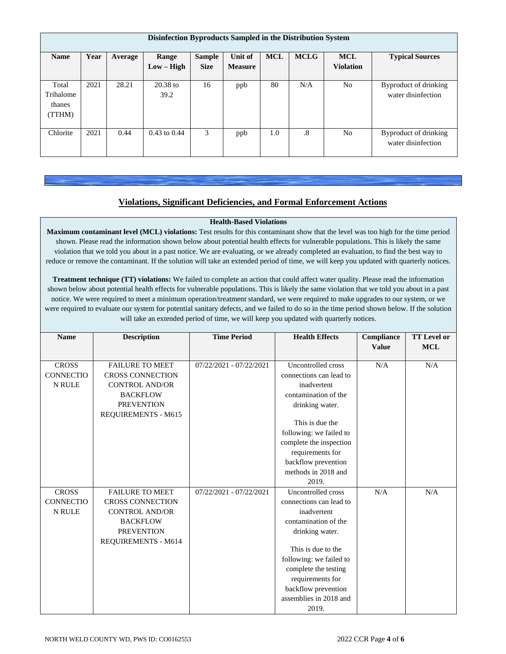| Disinfection Byproducts Sampled in the Distribution System |      |         |                       |                              |                                  |            |             |                                |                                             |
|------------------------------------------------------------|------|---------|-----------------------|------------------------------|----------------------------------|------------|-------------|--------------------------------|---------------------------------------------|
| <b>Name</b>                                                | Year | Average | Range<br>$Low - High$ | <b>Sample</b><br><b>Size</b> | <b>Unit of</b><br><b>Measure</b> | <b>MCL</b> | <b>MCLG</b> | <b>MCL</b><br><b>Violation</b> | <b>Typical Sources</b>                      |
| Total<br>Trihalome<br>thanes<br>(TTHM)                     | 2021 | 28.21   | $20.38$ to<br>39.2    | 16                           | ppb                              | 80         | N/A         | N <sub>o</sub>                 | Byproduct of drinking<br>water disinfection |
| Chlorite                                                   | 2021 | 0.44    | $0.43$ to $0.44$      | 3                            | ppb                              | 1.0        | $\cdot^8$   | No                             | Byproduct of drinking<br>water disinfection |

# **Violations, Significant Deficiencies, and Formal Enforcement Actions**

## **Health-Based Violations**

**Maximum contaminant level (MCL) violations:** Test results for this contaminant show that the level was too high for the time period shown. Please read the information shown below about potential health effects for vulnerable populations. This is likely the same violation that we told you about in a past notice. We are evaluating, or we already completed an evaluation, to find the best way to reduce or remove the contaminant. If the solution will take an extended period of time, we will keep you updated with quarterly notices.

**Treatment technique (TT) violations:** We failed to complete an action that could affect water quality. Please read the information shown below about potential health effects for vulnerable populations. This is likely the same violation that we told you about in a past notice. We were required to meet a minimum operation/treatment standard, we were required to make upgrades to our system, or we were required to evaluate our system for potential sanitary defects, and we failed to do so in the time period shown below. If the solution will take an extended period of time, we will keep you updated with quarterly notices.

| <b>Name</b>      | <b>Description</b>         | <b>Time Period</b>      | <b>Health Effects</b>   |     | <b>TT</b> Level or<br><b>MCL</b> |
|------------------|----------------------------|-------------------------|-------------------------|-----|----------------------------------|
|                  |                            |                         |                         |     |                                  |
| <b>CROSS</b>     | <b>FAILURE TO MEET</b>     | 07/22/2021 - 07/22/2021 | Uncontrolled cross      | N/A | N/A                              |
| <b>CONNECTIO</b> | <b>CROSS CONNECTION</b>    |                         | connections can lead to |     |                                  |
| <b>N RULE</b>    | <b>CONTROL AND/OR</b>      |                         | inadvertent             |     |                                  |
|                  | <b>BACKFLOW</b>            |                         | contamination of the    |     |                                  |
|                  | <b>PREVENTION</b>          |                         | drinking water.         |     |                                  |
|                  | REQUIREMENTS - M615        |                         |                         |     |                                  |
|                  |                            |                         | This is due the         |     |                                  |
|                  |                            |                         | following: we failed to |     |                                  |
|                  |                            |                         | complete the inspection |     |                                  |
|                  |                            |                         | requirements for        |     |                                  |
|                  |                            |                         | backflow prevention     |     |                                  |
|                  |                            |                         | methods in 2018 and     |     |                                  |
|                  |                            |                         | 2019.                   |     |                                  |
| <b>CROSS</b>     | <b>FAILURE TO MEET</b>     | 07/22/2021 - 07/22/2021 | Uncontrolled cross      | N/A | N/A                              |
| <b>CONNECTIO</b> | <b>CROSS CONNECTION</b>    |                         | connections can lead to |     |                                  |
| <b>N RULE</b>    | <b>CONTROL AND/OR</b>      |                         | inadvertent             |     |                                  |
|                  | <b>BACKFLOW</b>            |                         | contamination of the    |     |                                  |
|                  | <b>PREVENTION</b>          |                         | drinking water.         |     |                                  |
|                  | <b>REQUIREMENTS - M614</b> |                         |                         |     |                                  |
|                  |                            |                         | This is due to the      |     |                                  |
|                  |                            |                         | following: we failed to |     |                                  |
|                  |                            |                         | complete the testing    |     |                                  |
|                  |                            |                         | requirements for        |     |                                  |
|                  |                            |                         | backflow prevention     |     |                                  |
|                  |                            |                         | assemblies in 2018 and  |     |                                  |
|                  |                            |                         | 2019.                   |     |                                  |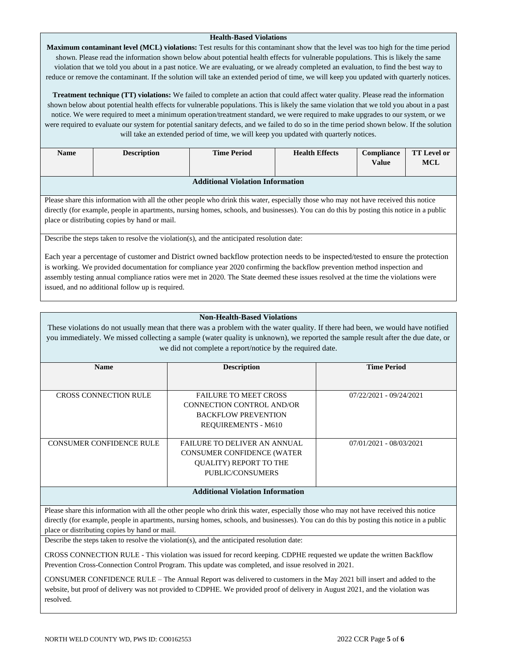#### **Health-Based Violations**

**Maximum contaminant level (MCL) violations:** Test results for this contaminant show that the level was too high for the time period shown. Please read the information shown below about potential health effects for vulnerable populations. This is likely the same violation that we told you about in a past notice. We are evaluating, or we already completed an evaluation, to find the best way to reduce or remove the contaminant. If the solution will take an extended period of time, we will keep you updated with quarterly notices.

**Treatment technique (TT) violations:** We failed to complete an action that could affect water quality. Please read the information shown below about potential health effects for vulnerable populations. This is likely the same violation that we told you about in a past notice. We were required to meet a minimum operation/treatment standard, we were required to make upgrades to our system, or we were required to evaluate our system for potential sanitary defects, and we failed to do so in the time period shown below. If the solution will take an extended period of time, we will keep you updated with quarterly notices.

| <b>Name</b>                             | <b>Description</b> | <b>Time Period</b> | <b>Health Effects</b> | <b>Compliance</b><br>Value | <b>TT Level or</b><br><b>MCL</b> |  |
|-----------------------------------------|--------------------|--------------------|-----------------------|----------------------------|----------------------------------|--|
| <b>Additional Violation Information</b> |                    |                    |                       |                            |                                  |  |

Please share this information with all the other people who drink this water, especially those who may not have received this notice directly (for example, people in apartments, nursing homes, schools, and businesses). You can do this by posting this notice in a public place or distributing copies by hand or mail.

Describe the steps taken to resolve the violation(s), and the anticipated resolution date:

Each year a percentage of customer and District owned backflow protection needs to be inspected/tested to ensure the protection is working. We provided documentation for compliance year 2020 confirming the backflow prevention method inspection and assembly testing annual compliance ratios were met in 2020. The State deemed these issues resolved at the time the violations were issued, and no additional follow up is required.

### **Non-Health-Based Violations**

These violations do not usually mean that there was a problem with the water quality. If there had been, we would have notified you immediately. We missed collecting a sample (water quality is unknown), we reported the sample result after the due date, or we did not complete a report/notice by the required date.

| <b>Name</b>                     | <b>Description</b>                                                                                                            | <b>Time Period</b>      |
|---------------------------------|-------------------------------------------------------------------------------------------------------------------------------|-------------------------|
| <b>CROSS CONNECTION RULE</b>    | <b>FAILURE TO MEET CROSS</b><br>CONNECTION CONTROL AND/OR<br><b>BACKFLOW PREVENTION</b><br><b>REQUIREMENTS - M610</b>         | 07/22/2021 - 09/24/2021 |
| <b>CONSUMER CONFIDENCE RULE</b> | <b>FAILURE TO DELIVER AN ANNUAL</b><br><b>CONSUMER CONFIDENCE (WATER</b><br><b>OUALITY) REPORT TO THE</b><br>PUBLIC/CONSUMERS | 07/01/2021 - 08/03/2021 |

## **Additional Violation Information**

Please share this information with all the other people who drink this water, especially those who may not have received this notice directly (for example, people in apartments, nursing homes, schools, and businesses). You can do this by posting this notice in a public place or distributing copies by hand or mail.

Describe the steps taken to resolve the violation(s), and the anticipated resolution date:

CROSS CONNECTION RULE - This violation was issued for record keeping. CDPHE requested we update the written Backflow Prevention Cross-Connection Control Program. This update was completed, and issue resolved in 2021.

CONSUMER CONFIDENCE RULE – The Annual Report was delivered to customers in the May 2021 bill insert and added to the website, but proof of delivery was not provided to CDPHE. We provided proof of delivery in August 2021, and the violation was resolved.